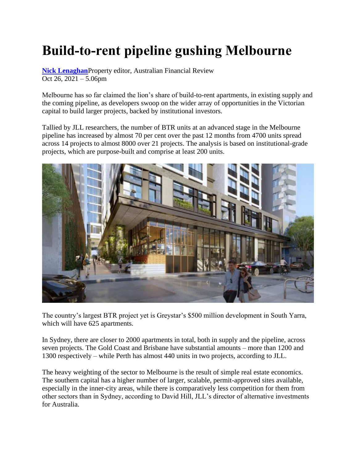## **Build-to-rent pipeline gushing Melbourne**

**[Nick Lenaghan](https://www.afr.com/by/nick-lenaghan-j7gcq)**Property editor, Australian Financial Review Oct 26, 2021 – 5.06pm

Melbourne has so far claimed the lion's share of build-to-rent apartments, in existing supply and the coming pipeline, as developers swoop on the wider array of opportunities in the Victorian capital to build larger projects, backed by institutional investors.

Tallied by JLL researchers, the number of BTR units at an advanced stage in the Melbourne pipeline has increased by almost 70 per cent over the past 12 months from 4700 units spread across 14 projects to almost 8000 over 21 projects. The analysis is based on institutional-grade projects, which are purpose-built and comprise at least 200 units.



The country's largest BTR project yet is Greystar's \$500 million development in South Yarra, which will have 625 apartments.

In Sydney, there are closer to 2000 apartments in total, both in supply and the pipeline, across seven projects. The Gold Coast and Brisbane have substantial amounts – more than 1200 and 1300 respectively – while Perth has almost 440 units in two projects, according to JLL.

The heavy weighting of the sector to Melbourne is the result of simple real estate economics. The southern capital has a higher number of larger, scalable, permit-approved sites available, especially in the inner-city areas, while there is comparatively less competition for them from other sectors than in Sydney, according to David Hill, JLL's director of alternative investments for Australia.